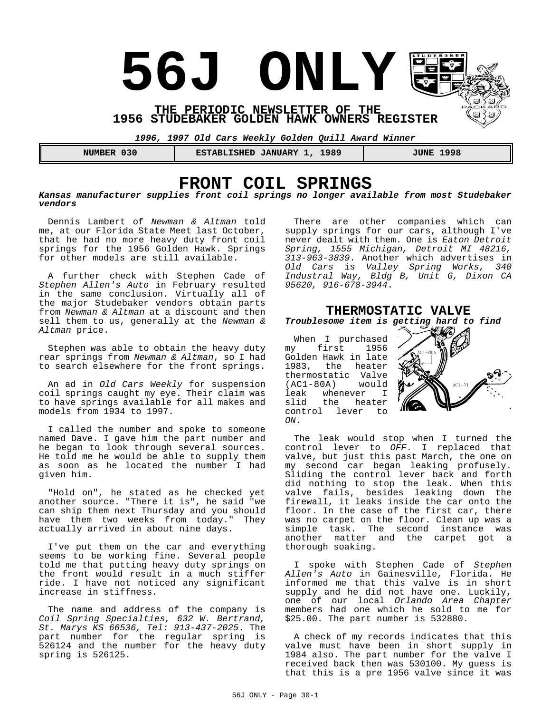**56J ONLY** 

**THE PERIODIC NEWSLETTER OF THE 1956 STUDEBAKER GOLDEN HAWK OWNERS REGISTER**

*1996, 1997 Old Cars Weekly Golden Quill Award Winner*

 **NUMBER 030 ESTABLISHED JANUARY 1, 1989 JUNE 1998**

# **FRONT COIL SPRINGS**

*Kansas manufacturer supplies front coil springs no longer available from most Studebaker vendors*

Dennis Lambert of *Newman & Altman* told me, at our Florida State Meet last October, that he had no more heavy duty front coil springs for the 1956 Golden Hawk. Springs for other models are still available.

A further check with Stephen Cade of *Stephen Allen's Auto* in February resulted in the same conclusion. Virtually all of the major Studebaker vendors obtain parts from *Newman & Altman* at a discount and then sell them to us, generally at the *Newman & Altman* price.

Stephen was able to obtain the heavy duty rear springs from *Newman & Altman*, so I had to search elsewhere for the front springs.

An ad in *Old Cars Weekly* for suspension coil springs caught my eye. Their claim was to have springs available for all makes and models from 1934 to 1997.

I called the number and spoke to someone named Dave. I gave him the part number and he began to look through several sources. He told me he would be able to supply them as soon as he located the number I had given him.

"Hold on", he stated as he checked yet another source. "There it is", he said "we can ship them next Thursday and you should have them two weeks from today." They actually arrived in about nine days.

I've put them on the car and everything seems to be working fine. Several people told me that putting heavy duty springs on the front would result in a much stiffer ride. I have not noticed any significant increase in stiffness.

The name and address of the company is *Coil Spring Specialties, 632 W. Bertrand, St. Marys KS 66536, Tel: 913-437-2025*. The part number for the regular spring is 526124 and the number for the heavy duty spring is 526125.

There are other companies which can supply springs for our cars, although I've never dealt with them. One is *Eaton Detroit Spring, 1555 Michigan, Detroit MI 48216, 313-963-3839*. Another which advertises in *Old Cars* is *Valley Spring Works, 340 Industral Way, Bldg B, Unit G, Dixon CA 95620, 916-678-3944*.

#### **THERMOSTATIC VALVE** *Troublesome item is getting hard to find*

When I purchased my first 1956 Golden Hawk in late 1983, the heater thermostatic Valve<br>(AC1-80A) would  $(AC1-80A)$ leak whenever I<br>slid the heater the heater control lever to *ON*.



The leak would stop when I turned the control lever to *OFF*. I replaced that valve, but just this past March, the one on my second car began leaking profusely. Sliding the control lever back and forth did nothing to stop the leak. When this valve fails, besides leaking down the firewall, it leaks inside the car onto the floor. In the case of the first car, there was no carpet on the floor. Clean up was a simple task. The second instance was another matter and the carpet got a thorough soaking.

I spoke with Stephen Cade of *Stephen Allen's Auto* in Gainesville, Florida. He informed me that this valve is in short supply and he did not have one. Luckily, one of our local *Orlando Area Chapter* members had one which he sold to me for \$25.00. The part number is 532880.

A check of my records indicates that this valve must have been in short supply in 1984 also. The part number for the valve I received back then was 530100. My guess is that this is a pre 1956 valve since it was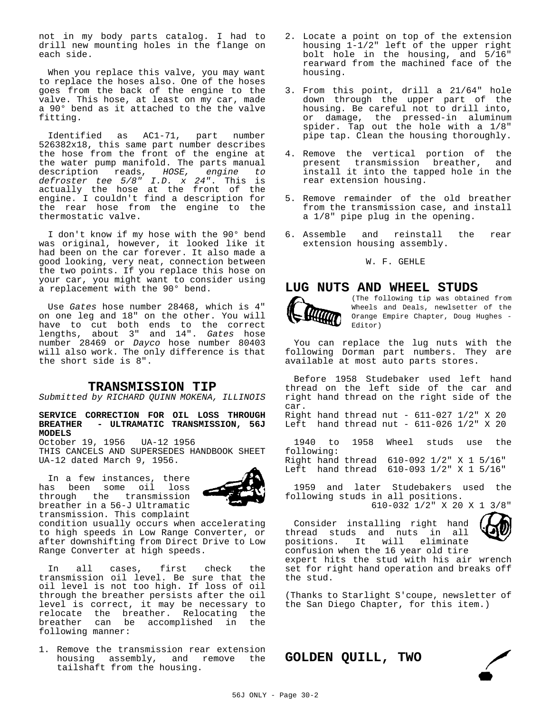not in my body parts catalog. I had to drill new mounting holes in the flange on each side.

When you replace this valve, you may want to replace the hoses also. One of the hoses goes from the back of the engine to the valve. This hose, at least on my car, made a 90° bend as it attached to the the valve fitting.

Identified as AC1-71, part number 526382x18, this same part number describes the hose from the front of the engine at the water pump manifold. The parts manual<br>description reads. HOSE, engine to description reads, *HOSE*, *defroster tee 5/8" I.D. x 24"*. This is actually the hose at the front of the engine. I couldn't find a description for the rear hose from the engine to the thermostatic valve.

I don't know if my hose with the 90° bend was original, however, it looked like it had been on the car forever. It also made a good looking, very neat, connection between the two points. If you replace this hose on your car, you might want to consider using a replacement with the 90° bend.

Use *Gates* hose number 28468, which is 4" on one leg and 18" on the other. You will have to cut both ends to the correct lengths, about 3" and 14". *Gates* hose number 28469 or *Dayco* hose number 80403 will also work. The only difference is that the short side is 8".

#### **TRANSMISSION TIP**

*Submitted by RICHARD QUINN MOKENA, ILLINOIS*

**SERVICE CORRECTION FOR OIL LOSS THROUGH BREATHER - ULTRAMATIC TRANSMISSION, 56J MODELS**

October 19, 1956 UA-12 1956 THIS CANCELS AND SUPERSEDES HANDBOOK SHEET UA-12 dated March 9, 1956.

In a few instances, there has been some oil loss<br>through the transmission through the breather in a 56-J Ultramatic transmission. This complaint



condition usually occurs when accelerating to high speeds in Low Range Converter, or after downshifting from Direct Drive to Low Range Converter at high speeds.

In all cases, first check the transmission oil level. Be sure that the oil level is not too high. If loss of oil through the breather persists after the oil level is correct, it may be necessary to relocate the breather. Relocating the breather can be accomplished in the following manner:

1. Remove the transmission rear extension housing assembly, and remove the tailshaft from the housing.

- 2. Locate a point on top of the extension housing 1-1/2" left of the upper right bolt hole in the housing, and 5/16" rearward from the machined face of the housing.
- 3. From this point, drill a 21/64" hole down through the upper part of the housing. Be careful not to drill into, or damage, the pressed-in aluminum spider. Tap out the hole with a 1/8" pipe tap. Clean the housing thoroughly.
- 4. Remove the vertical portion of the<br>present transmission breather, and present transmission breather, install it into the tapped hole in the rear extension housing.
- 5. Remove remainder of the old breather from the transmission case, and install a 1/8" pipe plug in the opening.
- 6. Assemble and reinstall the rear extension housing assembly.

#### W. F. GEHLE

### **LUG NUTS AND WHEEL STUDS**



(The following tip was obtained from Wheels and Deals, newlsetter of the Orange Empire Chapter, Doug Hughes - Editor)

You can replace the lug nuts with the following Dorman part numbers. They are available at most auto parts stores.

Before 1958 Studebaker used left hand thread on the left side of the car and right hand thread on the right side of the car. Right hand thread nut - 611-027 1/2" X 20 Left hand thread nut -  $611-026$   $1/2$ " X 20

1940 to 1958 Wheel studs use the following: Right hand thread 610-092 1/2" X 1 5/16" Left hand thread 610-093 1/2" X 1 5/16"

1959 and later Studebakers used the following studs in all positions.

610-032 1/2" X 20 X 1 3/8"

Consider installing right hand thread studs and nuts in all positions. It will eliminate confusion when the 16 year old tire



expert hits the stud with his air wrench set for right hand operation and breaks off the stud.

(Thanks to Starlight S'coupe, newsletter of the San Diego Chapter, for this item.)

**GOLDEN QUILL, TWO**

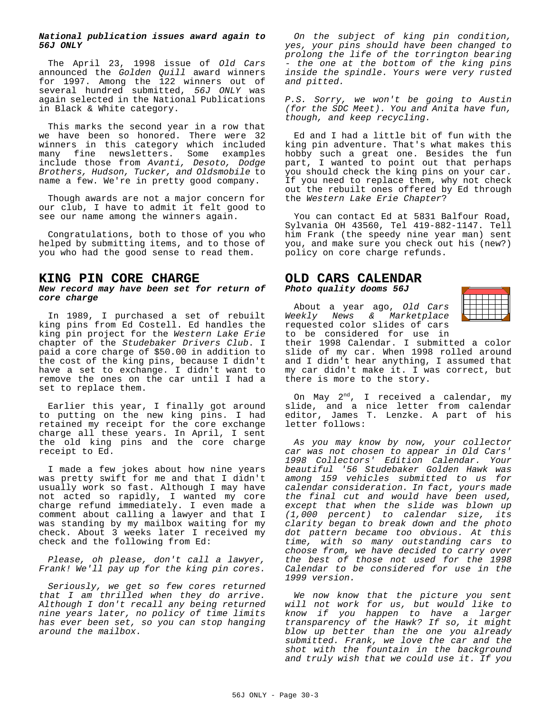#### *National publication issues award again to 56J ONLY*

The April 23, 1998 issue of *Old Cars* announced the *Golden Quill* award winners for 1997. Among the 122 winners out of several hundred submitted, *56J ONLY* was again selected in the National Publications in Black & White category.

This marks the second year in a row that we have been so honored. There were 32 winners in this category which included many fine newsletters. Some examples include those from *Avanti, Desoto, Dodge Brothers, Hudson, Tucker, and Oldsmobile* to name a few. We're in pretty good company.

Though awards are not a major concern for our club, I have to admit it felt good to see our name among the winners again.

Congratulations, both to those of you who helped by submitting items, and to those of you who had the good sense to read them.

## **KING PIN CORE CHARGE**

#### *New record may have been set for return of core charge*

In 1989, I purchased a set of rebuilt king pins from Ed Costell. Ed handles the king pin project for the *Western Lake Erie* chapter of the *Studebaker Drivers Club*. I paid a core charge of \$50.00 in addition to the cost of the king pins, because I didn't have a set to exchange. I didn't want to remove the ones on the car until I had a set to replace them.

Earlier this year, I finally got around to putting on the new king pins. I had retained my receipt for the core exchange charge all these years. In April, I sent the old king pins and the core charge receipt to Ed.

I made a few jokes about how nine years was pretty swift for me and that I didn't usually work so fast. Although I may have not acted so rapidly, I wanted my core charge refund immediately. I even made a comment about calling a lawyer and that I was standing by my mailbox waiting for my check. About 3 weeks later I received my check and the following from Ed:

*Please, oh please, don't call a lawyer, Frank! We'll pay up for the king pin cores.*

*Seriously, we get so few cores returned that I am thrilled when they do arrive. Although I don't recall any being returned nine years later, no policy of time limits has ever been set, so you can stop hanging around the mailbox.*

*On the subject of king pin condition, yes, your pins should have been changed to prolong the life of the torrington bearing - the one at the bottom of the king pins inside the spindle. Yours were very rusted and pitted.*

*P.S. Sorry, we won't be going to Austin (for the SDC Meet). You and Anita have fun, though, and keep recycling.*

Ed and I had a little bit of fun with the king pin adventure. That's what makes this hobby such a great one. Besides the fun part, I wanted to point out that perhaps you should check the king pins on your car. If you need to replace them, why not check out the rebuilt ones offered by Ed through the *Western Lake Erie Chapter*?

You can contact Ed at 5831 Balfour Road, Sylvania OH 43560, Tel 419-882-1147. Tell him Frank (the speedy nine year man) sent you, and make sure you check out his (new?) policy on core charge refunds.

#### **OLD CARS CALENDAR** *Photo quality dooms 56J*

About a year ago, *Old Cars Weekly News & Marketplace* requested color slides of cars to be considered for use in

their 1998 Calendar. I submitted a color slide of my car. When 1998 rolled around and I didn't hear anything, I assumed that my car didn't make it. I was correct, but there is more to the story.

On May  $2^{nd}$ , I received a calendar, my slide, and a nice letter from calendar editor, James T. Lenzke. A part of his letter follows:

*As you may know by now, your collector car was not chosen to appear in Old Cars' 1998 Collectors' Edition Calendar. Your beautiful '56 Studebaker Golden Hawk was among 159 vehicles submitted to us for calendar consideration. In fact, yours made the final cut and would have been used, except that when the slide was blown up (1,000 percent) to calendar size, its clarity began to break down and the photo dot pattern became too obvious. At this time, with so many outstanding cars to choose from, we have decided to carry over the best of those not used for the 1998 Calendar to be considered for use in the 1999 version.*

*We now know that the picture you sent will not work for us, but would like to know if you happen to have a larger transparency of the Hawk? If so, it might blow up better than the one you already submitted. Frank, we love the car and the shot with the fountain in the background and truly wish that we could use it. If you*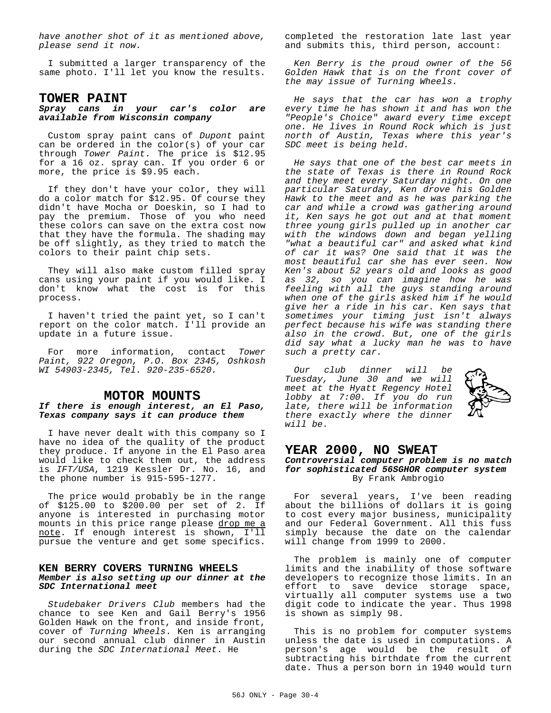*have another shot of it as mentioned above, please send it now.*

I submitted a larger transparency of the same photo. I'll let you know the results.

## **TOWER PAINT**

### *Spray cans in your car's color are available from Wisconsin company*

Custom spray paint cans of *Dupont* paint can be ordered in the color(s) of your car through *Tower Paint*. The price is \$12.95 for a 16 oz. spray can. If you order 6 or more, the price is \$9.95 each.

If they don't have your color, they will do a color match for \$12.95. Of course they didn't have Mocha or Doeskin, so I had to pay the premium. Those of you who need these colors can save on the extra cost now that they have the formula. The shading may be off slightly, as they tried to match the colors to their paint chip sets.

They will also make custom filled spray cans using your paint if you would like. I don't know what the cost is for this process.

I haven't tried the paint yet, so I can't report on the color match. I'll provide an update in a future issue.

For more information, contact *Tower Paint, 922 Oregon, P.O. Box 2345, Oshkosh WI 54903-2345, Tel. 920-235-6520.*

## **MOTOR MOUNTS**

#### *If there is enough interest, an El Paso, Texas company says it can produce them*

I have never dealt with this company so I have no idea of the quality of the product they produce. If anyone in the El Paso area would like to check them out, the address is *IFT/USA*, 1219 Kessler Dr. No. 16, and the phone number is 915-595-1277.

The price would probably be in the range of \$125.00 to \$200.00 per set of 2. If anyone is interested in purchasing motor mounts in this price range please drop me a note. If enough interest is shown, I'll pursue the venture and get some specifics.

#### **KEN BERRY COVERS TURNING WHEELS** *Member is also setting up our dinner at the SDC International meet*

*Studebaker Drivers Club* members had the chance to see Ken and Gail Berry's 1956 Golden Hawk on the front, and inside front, cover of *Turning Wheels*. Ken is arranging our second annual club dinner in Austin during the *SDC International Meet*. He

completed the restoration late last year and submits this, third person, account:

*Ken Berry is the proud owner of the 56 Golden Hawk that is on the front cover of the may issue of Turning Wheels.*

*He says that the car has won a trophy every time he has shown it and has won the "People's Choice" award every time except one. He lives in Round Rock which is just north of Austin, Texas where this year's SDC meet is being held.*

*He says that one of the best car meets in the state of Texas is there in Round Rock and they meet every Saturday night. On one particular Saturday, Ken drove his Golden Hawk to the meet and as he was parking the car and while a crowd was gathering around it, Ken says he got out and at that moment three young girls pulled up in another car with the windows down and began yelling "what a beautiful car" and asked what kind of car it was? One said that it was the most beautiful car she has ever seen. Now Ken's about 52 years old and looks as good as 32, so you can imagine how he was feeling with all the guys standing around when one of the girls asked him if he would give her a ride in his car. Ken says that sometimes your timing just isn't always perfect because his wife was standing there also in the crowd. But, one of the girls did say what a lucky man he was to have such a pretty car.*

*Our club dinner will be Tuesday, June 30 and we will meet at the Hyatt Regency Hotel lobby at 7:00. If you do run late, there will be information there exactly where the dinner will be.*



# **YEAR 2000, NO SWEAT**

*Controversial computer problem is no match for sophisticated 56SGHOR computer system* By Frank Ambrogio

For several years, I've been reading about the billions of dollars it is going to cost every major business, municipality and our Federal Government. All this fuss simply because the date on the calendar will change from 1999 to 2000.

The problem is mainly one of computer limits and the inability of those software developers to recognize those limits. In an effort to save device storage space, virtually all computer systems use a two digit code to indicate the year. Thus 1998 is shown as simply 98.

This is no problem for computer systems unless the date is used in computations. A person's age would be the result of subtracting his birthdate from the current date. Thus a person born in 1940 would turn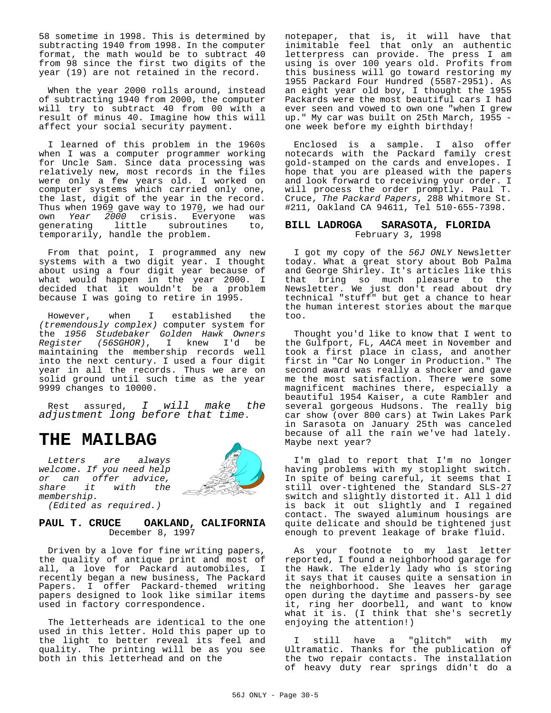58 sometime in 1998. This is determined by subtracting 1940 from 1998. In the computer format, the math would be to subtract 40 from 98 since the first two digits of the year (19) are not retained in the record.

When the year 2000 rolls around, instead of subtracting 1940 from 2000, the computer will try to subtract 40 from 00 with a result of minus 40. Imagine how this will affect your social security payment.

I learned of this problem in the 1960s when I was a computer programmer working for Uncle Sam. Since data processing was relatively new, most records in the files were only a few years old. I worked on computer systems which carried only one, the last, digit of the year in the record. Thus when  $1969$  gave way to 1970, we had our own *Year 2000* crisis. Everyone was generating little subroutines to, temporarily, handle the problem.

From that point, I programmed any new systems with a two digit year. I thought about using a four digit year because of what would happen in the year 2000. I decided that it wouldn't be a problem because I was going to retire in 1995.

However, when I established the *(tremendously complex)* computer system for the *1956 Studebaker Golden Hawk Owners Register (56SGHOR)*, I knew I'd be maintaining the membership records well into the next century. I used a four digit year in all the records. Thus we are on solid ground until such time as the year 9999 changes to 10000.

Rest assured, *I will make the adjustment long before that time*.

# **THE MAILBAG**

*Letters are always welcome. If you need help or can offer advice, share it with the membership. (Edited as required.)*



#### **PAUL T. CRUCE OAKLAND, CALIFORNIA** December 8, 1997

Driven by a love for fine writing papers, the quality of antique print and most of all, a love for Packard automobiles, I recently began a new business, The Packard Papers. I offer Packard-themed writing papers designed to look like similar items used in factory correspondence.

The letterheads are identical to the one used in this letter. Hold this paper up to the light to better reveal its feel and quality. The printing will be as you see both in this letterhead and on the

notepaper, that is, it will have that inimitable feel that only an authentic letterpress can provide. The press I am using is over 100 years old. Profits from this business will go toward restoring my 1955 Packard Four Hundred (5587-2951). As an eight year old boy, I thought the 1955 Packards were the most beautiful cars I had ever seen and vowed to own one "when I grew up." My car was built on 25th March, 1955 one week before my eighth birthday!

Enclosed is a sample. I also offer notecards with the Packard family crest gold-stamped on the cards and envelopes. I hope that you are pleased with the papers and look forward to receiving your order. I will process the order promptly. Paul T. Cruce, *The Packard Papers*, 288 Whitmore St. #211, Oakland CA 94611, Tel 510-655-7398.

#### **BILL LADROGA SARASOTA, FLORIDA** February 3, 1998

I got my copy of the *56J ONLY* Newsletter today. What a great story about Bob Palma and George Shirley. It's articles like this that bring so much pleasure to the Newsletter. We just don't read about dry technical "stuff" but get a chance to hear the human interest stories about the marque too.

Thought you'd like to know that I went to the Gulfport, FL, *AACA* meet in November and took a first place in class, and another first in "Car No Longer in Production." The second award was really a shocker and gave me the most satisfaction. There were some magnificent machines there, especially a beautiful 1954 Kaiser, a cute Rambler and several gorgeous Hudsons. The really big car show (over 800 cars) at Twin Lakes Park in Sarasota on January 25th was canceled because of all the rain we've had lately. Maybe next year?

I'm glad to report that I'm no longer having problems with my stoplight switch. In spite of being careful, it seems that I still over-tightened the Standard SLS-27 switch and slightly distorted it. All l did is back it out slightly and I regained contact. The swayed aluminum housings are quite delicate and should be tightened just enough to prevent leakage of brake fluid.

As your footnote to my last letter reported, I found a neighborhood garage for the Hawk. The elderly lady who is storing it says that it causes quite a sensation in the neighborhood. She leaves her garage open during the daytime and passers-by see it, ring her doorbell, and want to know what it is. (I think that she's secretly enjoying the attention!)

I still have a "glitch" with my Ultramatic. Thanks for the publication of the two repair contacts. The installation of heavy duty rear springs didn't do a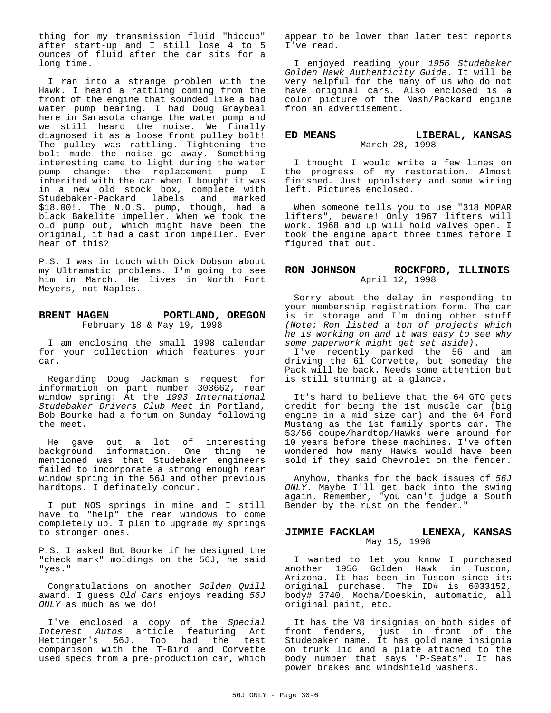thing for my transmission fluid "hiccup" after start-up and I still lose 4 to 5 ounces of fluid after the car sits for a long time.

I ran into a strange problem with the Hawk. I heard a rattling coming from the front of the engine that sounded like a bad water pump bearing. I had Doug Graybeal here in Sarasota change the water pump and we still heard the noise. We finally diagnosed it as a loose front pulley bolt! The pulley was rattling. Tightening the bolt made the noise go away. Something interesting came to light during the water pump change: the replacement pump I inherited with the car when I bought it was in a new old stock box, complete with Studebaker-Packard labels and marked \$18.00!. The N.O.S. pump, though, had a black Bakelite impeller. When we took the old pump out, which might have been the original, it had a cast iron impeller. Ever hear of this?

P.S. I was in touch with Dick Dobson about my Ultramatic problems. I'm going to see him in March. He lives in North Fort Meyers, not Naples.

#### **BRENT HAGEN PORTLAND, OREGON** February 18 & May 19, 1998

I am enclosing the small 1998 calendar for your collection which features your car.

Regarding Doug Jackman's request for information on part number 303662, rear window spring: At the *1993 International Studebaker Drivers Club Meet* in Portland, Bob Bourke had a forum on Sunday following the meet.

He gave out a lot of interesting background information. One thing he mentioned was that Studebaker engineers failed to incorporate a strong enough rear window spring in the 56J and other previous hardtops. I definately concur.

I put NOS springs in mine and I still have to "help" the rear windows to come completely up. I plan to upgrade my springs to stronger ones.

P.S. I asked Bob Bourke if he designed the "check mark" moldings on the 56J, he said "yes."

Congratulations on another *Golden Quill* award. I guess *Old Cars* enjoys reading *56J ONLY* as much as we do!

I've enclosed a copy of the *Special Interest Autos* article featuring Art Hettinger's 56J. Too bad the test comparison with the T-Bird and Corvette used specs from a pre-production car, which

appear to be lower than later test reports I've read.

I enjoyed reading your *1956 Studebaker Golden Hawk Authenticity Guide*. It will be very helpful for the many of us who do not have original cars. Also enclosed is a color picture of the Nash/Packard engine from an advertisement.

#### **ED MEANS LIBERAL, KANSAS** March 28, 1998

I thought I would write a few lines on the progress of my restoration. Almost finished. Just upholstery and some wiring left. Pictures enclosed.

When someone tells you to use "318 MOPAR lifters", beware! Only 1967 lifters will work. 1968 and up will hold valves open. I took the engine apart three times fefore I figured that out.

#### **RON JOHNSON ROCKFORD, ILLINOIS** April 12, 1998

Sorry about the delay in responding to your membership registration form. The car is in storage and I'm doing other stuff *(Note: Ron listed a ton of projects which he is working on and it was easy to see why some paperwork might get set aside)*.

I've recently parked the 56 and am driving the 61 Corvette, but someday the Pack will be back. Needs some attention but is still stunning at a glance.

It's hard to believe that the 64 GTO gets credit for being the 1st muscle car (big engine in a mid size car) and the 64 Ford Mustang as the 1st family sports car. The 53/56 coupe/hardtop/Hawks were around for 10 years before these machines. I've often wondered how many Hawks would have been sold if they said Chevrolet on the fender.

Anyhow, thanks for the back issues of *56J ONLY*. Maybe I'll get back into the swing again. Remember, "you can't judge a South Bender by the rust on the fender."

#### **JIMMIE FACKLAM LENEXA, KANSAS** May 15, 1998

I wanted to let you know I purchased another 1956 Golden Hawk in Tuscon, Arizona. It has been in Tuscon since its original purchase. The ID# is 6033152, body# 3740, Mocha/Doeskin, automatic, all original paint, etc.

It has the V8 insignias on both sides of front fenders, just in front of the Studebaker name. It has gold name insignia on trunk lid and a plate attached to the body number that says "P-Seats". It has power brakes and windshield washers.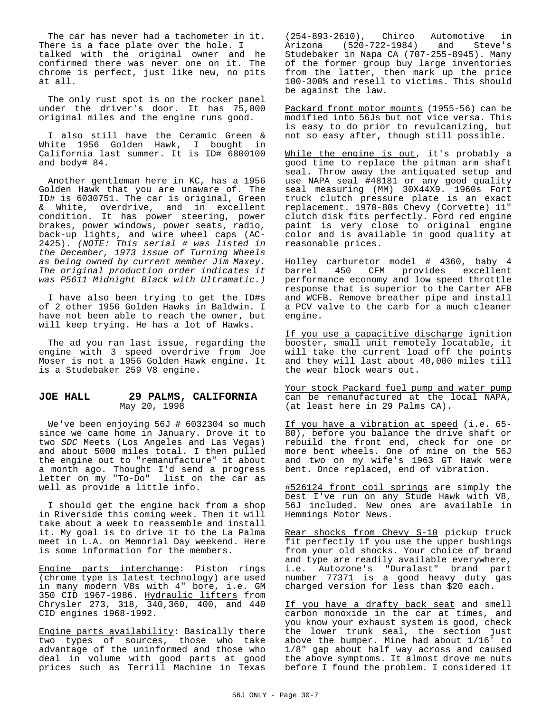The car has never had a tachometer in it. There is a face plate over the hole. I talked with the original owner and he confirmed there was never one on it. The chrome is perfect, just like new, no pits at all.

The only rust spot is on the rocker panel under the driver's door. It has 75,000 original miles and the engine runs good.

I also still have the Ceramic Green & White 1956 Golden Hawk, I bought in California last summer. It is ID# 6800100 and body# 84.

Another gentleman here in KC, has a 1956 Golden Hawk that you are unaware of. The ID# is 6030751. The car is original, Green & White, overdrive, and in excellent condition. It has power steering, power brakes, power windows, power seats, radio, back-up lights, and wire wheel caps (AC-2425). *(NOTE: This serial # was listed in the December, 1973 issue of Turning Wheels as being owned by current member Jim Maxey. The original production order indicates it was P5611 Midnight Black with Ultramatic.)*

I have also been trying to get the ID#s of 2 other 1956 Golden Hawks in Baldwin. I have not been able to reach the owner, but will keep trying. He has a lot of Hawks.

The ad you ran last issue, regarding the engine with 3 speed overdrive from Joe Moser is not a 1956 Golden Hawk engine. It is a Studebaker 259 V8 engine.

#### **JOE HALL 29 PALMS, CALIFORNIA** May 20, 1998

We've been enjoying 56J # 6032304 so much since we came home in January. Drove it to two *SDC* Meets (Los Angeles and Las Vegas) and about 5000 miles total. I then pulled the engine out to "remanufacture" it about a month ago. Thought I'd send a progress letter on my "To-Do" list on the car as well as provide a little info.

I should get the engine back from a shop in Riverside this coming week. Then it will take about a week to reassemble and install it. My goal is to drive it to the La Palma meet in L.A. on Memorial Day weekend. Here is some information for the members.

Engine parts interchange: Piston rings (chrome type is latest technology) are used in many modern V8s with 4" bore, i.e. GM 350 CID 1967-1986. Hydraulic lifters from Chrysler 273, 318, 340,360, 400, and 440 CID engines 1968-1992.

Engine parts availability: Basically there two types of sources, those who take advantage of the uninformed and those who deal in volume with good parts at good prices such as Terrill Machine in Texas

(254-893-2610), Chirco Automotive in Arizona (520-722-1984) and Steve's Studebaker in Napa CA (707-255-8945). Many of the former group buy large inventories from the latter, then mark up the price 100-300% and resell to victims. This should be against the law.

Packard front motor mounts (1955-56) can be modified into 56Js but not vice versa. This is easy to do prior to revulcanizing, but not so easy after, though still possible.

While the engine is out, it's probably a good time to replace the pitman arm shaft seal. Throw away the antiquated setup and use NAPA seal #48181 or any good quality seal measuring (MM) 30X44X9. 1960s Fort truck clutch pressure plate is an exact replacement. 1970-80s Chevy (Corvette) 11" clutch disk fits perfectly. Ford red engine paint is very close to original engine color and is available in good quality at reasonable prices.

Holley carburetor model # 4360, baby 4 barrel 450 CFM provides excellent performance economy and low speed throttle response that is superior to the Carter AFB and WCFB. Remove breather pipe and install a PCV valve to the carb for a much cleaner engine.

If you use a capacitive discharge ignition booster, small unit remotely locatable, it will take the current load off the points and they will last about 40,000 miles till the wear block wears out.

Your stock Packard fuel pump and water pump can be remanufactured at the local NAPA, (at least here in 29 Palms CA).

If you have a vibration at speed (i.e. 65- 80), before you balance the drive shaft or rebuild the front end, check for one or more bent wheels. One of mine on the 56J and two on my wife's 1963 GT Hawk were bent. Once replaced, end of vibration.

#526124 front coil springs are simply the best I've run on any Stude Hawk with V8, 56J included. New ones are available in Hemmings Motor News.

Rear shocks from Chevy S-10 pickup truck fit perfectly if you use the upper bushings from your old shocks. Your choice of brand and type are readily available everywhere, i.e. Autozone's "Duralast" brand part number 77371 is a good heavy duty gas charged version for less than \$20 each.

If you have a drafty back seat and smell carbon monoxide in the car at times, and you know your exhaust system is good, check the lower trunk seal, the section just above the bumper. Mine had about 1/16' to 1/8" gap about half way across and caused the above symptoms. It almost drove me nuts before I found the problem. I considered it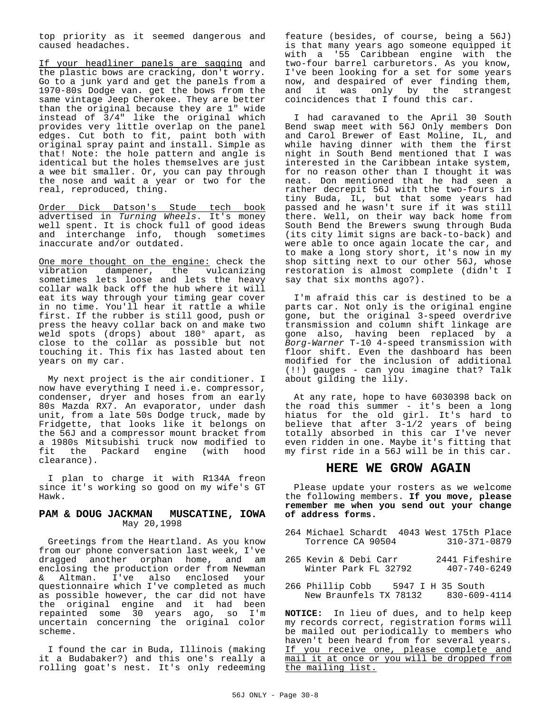top priority as it seemed dangerous and caused headaches.

If your headliner panels are sagging and the plastic bows are cracking, don't worry. Go to a junk yard and get the panels from a 1970-80s Dodge van. get the bows from the same vintage Jeep Cherokee. They are better than the original because they are 1" wide instead of 3/4" like the original which provides very little overlap on the panel edges. Cut both to fit, paint both with original spray paint and install. Simple as that! Note: the hole pattern and angle is identical but the holes themselves are just a wee bit smaller. Or, you can pay through the nose and wait a year or two for the real, reproduced, thing.

Order Dick Datson's Stude tech book advertised in *Turning Wheels*. It's money well spent. It is chock full of good ideas and interchange info, though sometimes inaccurate and/or outdated.

One more thought on the engine: check the vibration dampener, the vulcanizing sometimes lets loose and lets the heavy collar walk back off the hub where it will eat its way through your timing gear cover in no time. You'll hear it rattle a while first. If the rubber is still good, push or press the heavy collar back on and make two weld spots (drops) about 180° apart, as close to the collar as possible but not touching it. This fix has lasted about ten years on my car.

My next project is the air conditioner. I now have everything I need i.e. compressor, condenser, dryer and hoses from an early 80s Mazda RX7. An evaporator, under dash unit, from a late 50s Dodge truck, made by Fridgette, that looks like it belongs on the 56J and a compressor mount bracket from a 1980s Mitsubishi truck now modified to fit the Packard engine (with hood clearance).

I plan to charge it with R134A freon since it's working so good on my wife's GT Hawk.

#### **PAM & DOUG JACKMAN MUSCATINE, IOWA** May 20,1998

Greetings from the Heartland. As you know from our phone conversation last week, I've dragged another orphan home, and am enclosing the production order from Newman & Altman. I've also enclosed your questionnaire which I've completed as much as possible however, the car did not have the original engine and it had been repainted some 30 years ago, so I'm uncertain concerning the original color scheme.

I found the car in Buda, Illinois (making it a Budabaker?) and this one's really a rolling goat's nest. It's only redeeming

feature (besides, of course, being a 56J) is that many years ago someone equipped it with a '55 Caribbean engine with the two-four barrel carburetors. As you know, I've been looking for a set for some years now, and despaired of ever finding them,<br>and it was only by the strangest and it was only by the coincidences that I found this car.

I had caravaned to the April 30 South Bend swap meet with 56J Only members Don and Carol Brewer of East Moline, IL, and while having dinner with them the first night in South Bend mentioned that I was interested in the Caribbean intake system, for no reason other than I thought it was neat. Don mentioned that he had seen a rather decrepit 56J with the two-fours in tiny Buda, IL, but that some years had passed and he wasn't sure if it was still there. Well, on their way back home from South Bend the Brewers swung through Buda (its city limit signs are back-to-back) and were able to once again locate the car, and to make a long story short, it's now in my shop sitting next to our other 56J, whose restoration is almost complete (didn't I say that six months ago?).

I'm afraid this car is destined to be a parts car. Not only is the original engine gone, but the original 3-speed overdrive transmission and column shift linkage are gone also, having been replaced by a *Borg-Warner* T-10 4-speed transmission with floor shift. Even the dashboard has been modified for the inclusion of additional (!!) gauges - can you imagine that? Talk about gilding the lily.

At any rate, hope to have 6030398 back on the road this summer - it's been a long hiatus for the old girl. It's hard to believe that after 3-1/2 years of being totally absorbed in this car I've never even ridden in one. Maybe it's fitting that my first ride in a 56J will be in this car.

# **HERE WE GROW AGAIN**

Please update your rosters as we welcome the following members. **If you move, please remember me when you send out your change of address forms.**

- 264 Michael Schardt 4043 West 175th Place Torrence CA 90504
- 265 Kevin & Debi Carr 2441 Fifeshire<br>Winter Park FL 32792 407-740-6249 Winter Park FL 32792
- 266 Phillip Cobb 5947 I H 35 South<br>New Braunfels TX 78132 830-609-4114 New Braunfels TX 78132

**NOTICE:** In lieu of dues, and to help keep my records correct, registration forms will be mailed out periodically to members who haven't been heard from for several years. If you receive one, please complete and mail it at once or you will be dropped from the mailing list.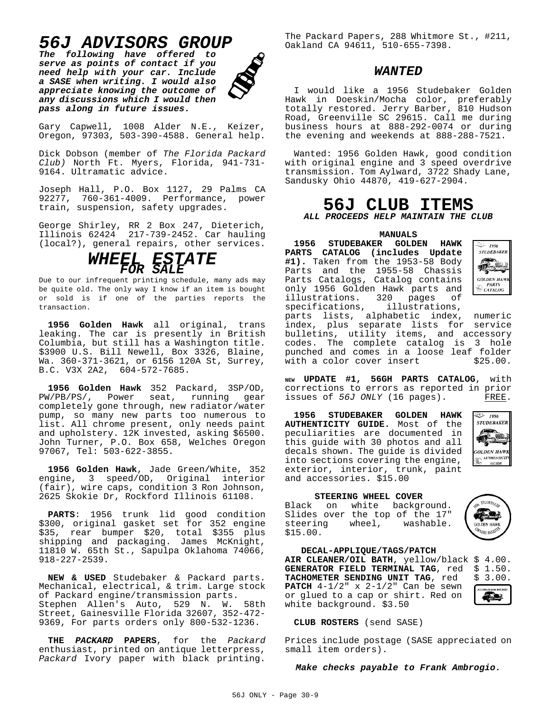# *56J ADVISORS GROUP*

*The following have offered to serve as points of contact if you need help with your car. Include a SASE when writing. I would also appreciate knowing the outcome of any discussions which I would then pass along in future issues.*



Gary Capwell, 1008 Alder N.E., Keizer, Oregon, 97303, 503-390-4588. General help.

Dick Dobson (member of *The Florida Packard Club)* North Ft. Myers, Florida, 941-731- 9164. Ultramatic advice.

Joseph Hall, P.O. Box 1127, 29 Palms CA 92277, 760-361-4009. Performance, power train, suspension, safety upgrades.

George Shirley, RR 2 Box 247, Dieterich, Illinois 62424 217-739-2452. Car hauling (local?), general repairs, other services.

# *WHEEL ESTATE FOR SALE*

Due to our infrequent printing schedule, many ads may be quite old. The only way I know if an item is bought or sold is if one of the parties reports the transaction.

**1956 Golden Hawk** all original, trans leaking. The car is presently in British Columbia, but still has a Washington title. \$3900 U.S. Bill Newell, Box 3326, Blaine, Wa. 360-371-3621, or 6156 120A St, Surrey, B.C. V3X 2A2, 604-572-7685.

**1956 Golden Hawk** 352 Packard, 3SP/OD, PW/PB/PS/, Power seat, running gear completely gone through, new radiator/water pump, so many new parts too numerous to list. All chrome present, only needs paint and upholstery. 12K invested, asking \$6500. John Turner, P.O. Box 658, Welches Oregon 97067, Tel: 503-622-3855.

**1956 Golden Hawk**, Jade Green/White, 352 engine, 3 speed/OD, Original interior (fair), wire caps, condition 3 Ron Johnson, 2625 Skokie Dr, Rockford Illinois 61108.

**PARTS**: 1956 trunk lid good condition \$300, original gasket set for 352 engine \$35, rear bumper \$20, total \$355 plus shipping and packaging. James McKnight, 11810 W. 65th St., Sapulpa Oklahoma 74066, 918-227-2539.

**NEW & USED** Studebaker & Packard parts. Mechanical, electrical, & trim. Large stock of Packard engine/transmission parts. Stephen Allen's Auto, 529 N. W. 58th Street, Gainesville Florida 32607, 352-472- 9369, For parts orders only 800-532-1236.

**THE** *PACKARD* **PAPERS**, for the *Packard* enthusiast, printed on antique letterpress, *Packard* Ivory paper with black printing.

The Packard Papers, 288 Whitmore St., #211, Oakland CA 94611, 510-655-7398.

# *WANTED*

I would like a 1956 Studebaker Golden Hawk in Doeskin/Mocha color, preferably totally restored. Jerry Barber, 810 Hudson Road, Greenville SC 29615. Call me during business hours at 888-292-0074 or during the evening and weekends at 888-288-7521.

Wanted: 1956 Golden Hawk, good condition with original engine and 3 speed overdrive transmission. Tom Aylward, 3722 Shady Lane, Sandusky Ohio 44870, 419-627-2904.

# **56J CLUB ITEMS**

*ALL PROCEEDS HELP MAINTAIN THE CLUB*

#### **MANUALS**

**1956 STUDEBAKER GOLDEN HAWK**  $\overset{\sim}{\leadsto}$  1956 **PARTS CATALOG (includes Update STUDEBAKER** 不安 **#1).** Taken from the 1953-58 Body  $\mathbf{C}$ Parts and the 1955-58 Chassis Parts Catalogs, Catalog contains **GOLDEN HAW** PARTS<br>CATALOG only 1956 Golden Hawk parts and illustrations. 320 pages of<br>specifications, illustrations, specifications, parts lists, alphabetic index, numeric index, plus separate lists for service bulletins, utility items, and accessory codes. The complete catalog is 3 hole punched and comes in a loose leaf folder<br>with a color cover insert \$25.00. with a color cover insert

**NEW UPDATE #1, 56GH PARTS CATALOG**, with corrections to errors as reported in prior<br>issues of 56J ONLY (16 pages). FREE. issues of 56J ONLY (16 pages).

**1956 STUDEBAKER GOLDEN HAWK AUTHENTICITY GUIDE.** Most of the peculiarities are documented in this guide with 30 photos and all decals shown. The guide is divided into sections covering the engine, exterior, interior, trunk, paint and accessories. \$15.00



**STUDEBAKE** 

GOLDEN HAW **WERS REGS** 

æ.

#### **STEERING WHEEL COVER**

Black on white background. Slides over the top of the 17"<br>steering wheel, washable. steering wheel, \$15.00.

**DECAL-APPLIQUE/TAGS/PATCH** AIR CLEANER/OIL BATH, yellow/black \$ 4.00.<br>GENERATOR FIELD TERMINAL TAG, red \$ 1.50. **GENERATOR FIELD TERMINAL TAG**, red \$ 1.50.<br>**TACHOMETER SENDING UNIT TAG**, red \$ 3.00. TACHOMETER SENDING UNIT TAG, red **PATCH** 4-1/2" x 2-1/2" Can be sewn or glued to a cap or shirt. Red on white background. \$3.50

#### **CLUB ROSTERS** (send SASE)

Prices include postage (SASE appreciated on small item orders).

#### *Make checks payable to Frank Ambrogio.*